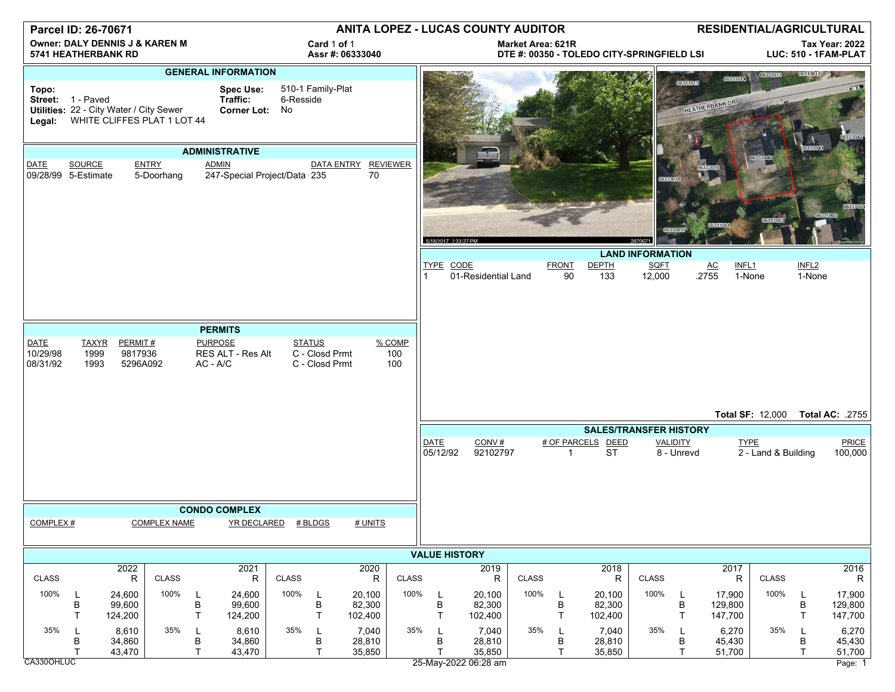| Parcel ID: 26-70671                                              |                                                                                             |                                |                            |                                 | ANITA LOPEZ - LUCAS COUNTY AUDITOR              |                     |                                                   |                                                                        |                      |                         |                             | RESIDENTIAL/AGRICULTURAL |                    |                                               |                         |                               |                                  |                                    |                             |                              |
|------------------------------------------------------------------|---------------------------------------------------------------------------------------------|--------------------------------|----------------------------|---------------------------------|-------------------------------------------------|---------------------|---------------------------------------------------|------------------------------------------------------------------------|----------------------|-------------------------|-----------------------------|--------------------------|--------------------|-----------------------------------------------|-------------------------|-------------------------------|----------------------------------|------------------------------------|-----------------------------|------------------------------|
| <b>Owner: DALY DENNIS J &amp; KAREN M</b><br>5741 HEATHERBANK RD |                                                                                             |                                |                            | Card 1 of 1<br>Assr #: 06333040 |                                                 |                     |                                                   | <b>Market Area: 621R</b><br>DTE #: 00350 - TOLEDO CITY-SPRINGFIELD LSI |                      |                         |                             |                          |                    | <b>Tax Year: 2022</b><br>LUC: 510 - 1FAM-PLAT |                         |                               |                                  |                                    |                             |                              |
|                                                                  |                                                                                             |                                |                            |                                 | <b>GENERAL INFORMATION</b>                      |                     |                                                   |                                                                        |                      |                         |                             |                          |                    |                                               |                         |                               | <b>OCCECON4</b>                  | 06333013                           |                             |                              |
| Topo:<br>Legal:                                                  | Street: 1 - Paved<br>Utilities: 22 - City Water / City Sewer<br>WHITE CLIFFES PLAT 1 LOT 44 |                                |                            |                                 | <b>Spec Use:</b><br>Traffic:<br>Corner Lot: No  | 6-Resside           | 510-1 Family-Plat                                 |                                                                        |                      |                         |                             |                          |                    |                                               |                         | 06333015                      | HEATHERBANK DR                   |                                    |                             |                              |
|                                                                  |                                                                                             |                                |                            |                                 | <b>ADMINISTRATIVE</b>                           |                     |                                                   |                                                                        |                      |                         |                             |                          |                    |                                               |                         |                               |                                  |                                    |                             |                              |
| DATE                                                             | SOURCE<br>09/28/99 5-Estimate                                                               |                                | <b>ENTRY</b><br>5-Doorhang |                                 | <b>ADMIN</b><br>247-Special Project/Data 235    |                     | DATA ENTRY REVIEWER                               | 70                                                                     |                      |                         |                             |                          |                    |                                               |                         |                               |                                  |                                    |                             |                              |
|                                                                  |                                                                                             |                                |                            |                                 |                                                 |                     |                                                   |                                                                        |                      | 5/18/2017, 3:33:27 PM   |                             |                          |                    |                                               |                         |                               |                                  |                                    |                             |                              |
|                                                                  |                                                                                             |                                |                            |                                 |                                                 |                     |                                                   |                                                                        |                      |                         |                             |                          |                    |                                               | <b>LAND INFORMATION</b> |                               |                                  |                                    |                             |                              |
|                                                                  |                                                                                             |                                |                            |                                 |                                                 |                     |                                                   |                                                                        |                      | TYPE CODE               | 01-Residential Land         |                          | <b>FRONT</b><br>90 | <b>DEPTH</b><br>133                           | <b>SQFT</b><br>12,000   |                               | AC<br>INFL <sub>1</sub><br>.2755 | 1-None                             | INFL <sub>2</sub><br>1-None |                              |
|                                                                  |                                                                                             |                                |                            |                                 |                                                 |                     |                                                   |                                                                        |                      |                         |                             |                          |                    |                                               |                         |                               |                                  |                                    |                             |                              |
|                                                                  |                                                                                             |                                |                            |                                 |                                                 |                     |                                                   |                                                                        |                      |                         |                             |                          |                    |                                               |                         |                               |                                  |                                    |                             |                              |
|                                                                  |                                                                                             |                                |                            |                                 | <b>PERMITS</b>                                  |                     |                                                   |                                                                        |                      |                         |                             |                          |                    |                                               |                         |                               |                                  |                                    |                             |                              |
| <b>DATE</b><br>10/29/98<br>08/31/92                              | <b>TAXYR</b><br>1999<br>1993                                                                | PERMIT#<br>9817936<br>5296A092 |                            |                                 | <b>PURPOSE</b><br>RES ALT - Res Alt<br>AC - A/C |                     | <b>STATUS</b><br>C - Closd Prmt<br>C - Closd Prmt |                                                                        | % COMP<br>100<br>100 |                         |                             |                          |                    |                                               |                         |                               |                                  |                                    |                             |                              |
|                                                                  |                                                                                             |                                |                            |                                 |                                                 |                     |                                                   |                                                                        |                      |                         |                             |                          |                    |                                               |                         |                               |                                  |                                    |                             |                              |
|                                                                  |                                                                                             |                                |                            |                                 |                                                 |                     |                                                   |                                                                        |                      |                         |                             |                          |                    |                                               |                         |                               |                                  | <b>Total SF: 12,000</b>            |                             | 755. :Total AC:              |
|                                                                  |                                                                                             |                                |                            |                                 |                                                 |                     |                                                   |                                                                        |                      |                         |                             |                          |                    | <b>SALES/TRANSFER HISTORY</b>                 |                         |                               |                                  |                                    |                             |                              |
|                                                                  |                                                                                             |                                |                            |                                 |                                                 |                     |                                                   |                                                                        |                      | <b>DATE</b><br>05/12/92 | CONV#<br>92102797           |                          |                    | # OF PARCELS DEED<br><b>ST</b>                |                         | <b>VALIDITY</b><br>8 - Unrevd |                                  | <b>TYPE</b><br>2 - Land & Building |                             | <b>PRICE</b><br>100,000      |
|                                                                  |                                                                                             |                                |                            |                                 | <b>CONDO COMPLEX</b>                            |                     |                                                   |                                                                        |                      |                         |                             |                          |                    |                                               |                         |                               |                                  |                                    |                             |                              |
| COMPLEX#                                                         |                                                                                             |                                | <b>COMPLEX NAME</b>        |                                 |                                                 | YR DECLARED # BLDGS |                                                   | # UNITS                                                                |                      |                         |                             |                          |                    |                                               |                         |                               |                                  |                                    |                             |                              |
|                                                                  |                                                                                             |                                |                            |                                 |                                                 |                     |                                                   |                                                                        |                      |                         |                             |                          |                    |                                               |                         |                               |                                  |                                    |                             |                              |
|                                                                  |                                                                                             | 2022                           |                            |                                 | 2021                                            |                     |                                                   | 2020                                                                   |                      | <b>VALUE HISTORY</b>    | 2019                        |                          |                    | 2018                                          |                         |                               | 2017                             |                                    |                             | 2016                         |
| <b>CLASS</b>                                                     |                                                                                             | $\mathsf R$                    | <b>CLASS</b>               |                                 | $\mathsf R$                                     | CLASS               |                                                   | R                                                                      | <b>CLASS</b>         |                         | $\mathsf{R}$                | <b>CLASS</b>             |                    | R                                             | CLASS                   |                               | R                                | CLASS                              |                             | ${\sf R}$                    |
| 100%                                                             | L<br>B<br>Τ                                                                                 | 24,600<br>99,600<br>124,200    | 100%                       | -L<br>В<br>T                    | 24,600<br>99,600<br>124,200                     | 100%                | L<br>B<br>$\mathsf T$                             | 20,100<br>82,300<br>102,400                                            | 100%                 | L<br>В<br>T.            | 20,100<br>82,300<br>102,400 | 100%                     | В<br>T.            | 20,100<br>82,300<br>102,400                   | 100%                    | L<br>$\sf B$<br>$\mathsf{T}$  | 17,900<br>129,800<br>147,700     | 100%                               | L<br>В<br>T                 | 17,900<br>129,800<br>147,700 |
| 35%                                                              | L<br>В<br>т                                                                                 | 8,610<br>34,860<br>43,470      | 35%                        | -L<br>В<br>T                    | 8,610<br>34,860<br>43,470                       | 35%                 | L<br>$\sf B$<br>T.                                | 7,040<br>28,810<br>35,850                                              | 35%                  | L<br>B<br>T.            | 7,040<br>28,810<br>35,850   | 35%                      | B<br>T             | 7,040<br>28,810<br>35,850                     | 35%                     | L<br>$\sf B$<br>$\mathsf{T}$  | 6,270<br>45,430<br>51,700        | 35%                                | L<br>в<br>T                 | 6,270<br>45,430<br>51,700    |
| CA330OHLUC                                                       |                                                                                             |                                |                            |                                 |                                                 |                     |                                                   |                                                                        |                      |                         | 25-May-2022 06:28 am        |                          |                    |                                               |                         |                               |                                  |                                    |                             | Page: 1                      |